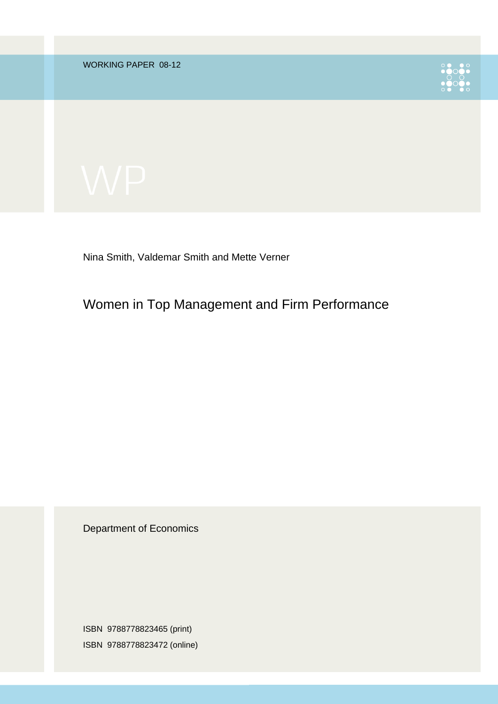WORKING PAPER 08-12





Nina Smith, Valdemar Smith and Mette Verner

Women in Top Management and Firm Performance

Department of Economics

ISBN 9788778823465 (print) ISBN 9788778823472 (online)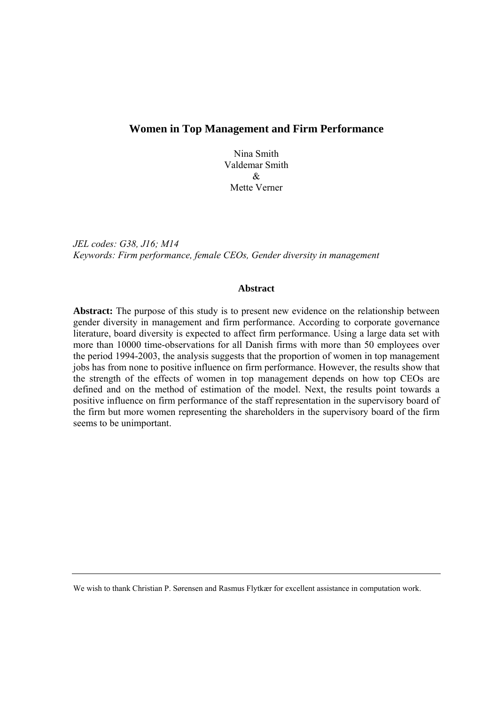# **Women in Top Management and Firm Performance**

Nina Smith Valdemar Smith & Mette Verner

*JEL codes: G38, J16; M14 Keywords: Firm performance, female CEOs, Gender diversity in management* 

#### **Abstract**

Abstract: The purpose of this study is to present new evidence on the relationship between gender diversity in management and firm performance. According to corporate governance literature, board diversity is expected to affect firm performance. Using a large data set with more than 10000 time-observations for all Danish firms with more than 50 employees over the period 1994-2003, the analysis suggests that the proportion of women in top management jobs has from none to positive influence on firm performance. However, the results show that the strength of the effects of women in top management depends on how top CEOs are defined and on the method of estimation of the model. Next, the results point towards a positive influence on firm performance of the staff representation in the supervisory board of the firm but more women representing the shareholders in the supervisory board of the firm seems to be unimportant.

We wish to thank Christian P. Sørensen and Rasmus Flytkær for excellent assistance in computation work.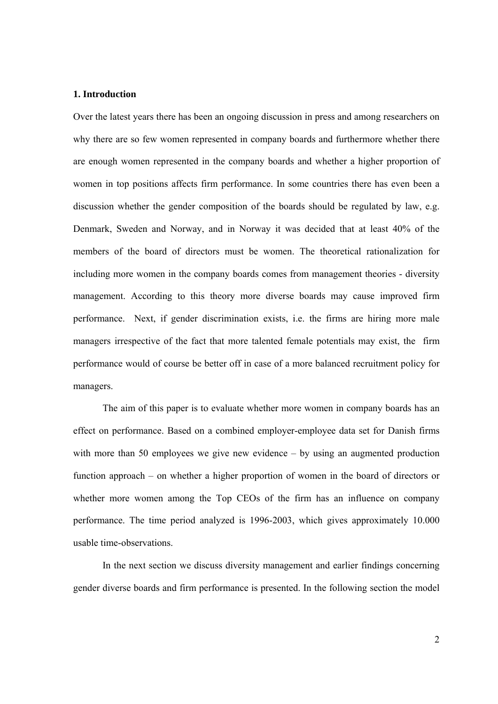#### **1. Introduction**

Over the latest years there has been an ongoing discussion in press and among researchers on why there are so few women represented in company boards and furthermore whether there are enough women represented in the company boards and whether a higher proportion of women in top positions affects firm performance. In some countries there has even been a discussion whether the gender composition of the boards should be regulated by law, e.g. Denmark, Sweden and Norway, and in Norway it was decided that at least 40% of the members of the board of directors must be women. The theoretical rationalization for including more women in the company boards comes from management theories - diversity management. According to this theory more diverse boards may cause improved firm performance. Next, if gender discrimination exists, i.e. the firms are hiring more male managers irrespective of the fact that more talented female potentials may exist, the firm performance would of course be better off in case of a more balanced recruitment policy for managers.

The aim of this paper is to evaluate whether more women in company boards has an effect on performance. Based on a combined employer-employee data set for Danish firms with more than 50 employees we give new evidence – by using an augmented production function approach – on whether a higher proportion of women in the board of directors or whether more women among the Top CEOs of the firm has an influence on company performance. The time period analyzed is 1996-2003, which gives approximately 10.000 usable time-observations.

In the next section we discuss diversity management and earlier findings concerning gender diverse boards and firm performance is presented. In the following section the model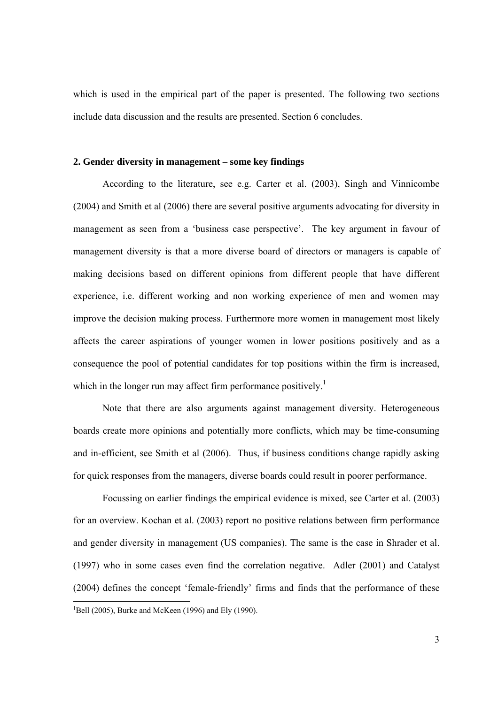which is used in the empirical part of the paper is presented. The following two sections include data discussion and the results are presented. Section 6 concludes.

# **2. Gender diversity in management – some key findings**

According to the literature, see e.g. Carter et al. (2003), Singh and Vinnicombe (2004) and Smith et al (2006) there are several positive arguments advocating for diversity in management as seen from a 'business case perspective'. The key argument in favour of management diversity is that a more diverse board of directors or managers is capable of making decisions based on different opinions from different people that have different experience, i.e. different working and non working experience of men and women may improve the decision making process. Furthermore more women in management most likely affects the career aspirations of younger women in lower positions positively and as a consequence the pool of potential candidates for top positions within the firm is increased, which in the longer run may affect firm performance positively.<sup>1</sup>

Note that there are also arguments against management diversity. Heterogeneous boards create more opinions and potentially more conflicts, which may be time-consuming and in-efficient, see Smith et al (2006). Thus, if business conditions change rapidly asking for quick responses from the managers, diverse boards could result in poorer performance.

Focussing on earlier findings the empirical evidence is mixed, see Carter et al. (2003) for an overview. Kochan et al. (2003) report no positive relations between firm performance and gender diversity in management (US companies). The same is the case in Shrader et al. (1997) who in some cases even find the correlation negative. Adler (2001) and Catalyst (2004) defines the concept 'female-friendly' firms and finds that the performance of these  $\overline{a}$  ${}^{1}$ Bell (2005), Burke and McKeen (1996) and Ely (1990).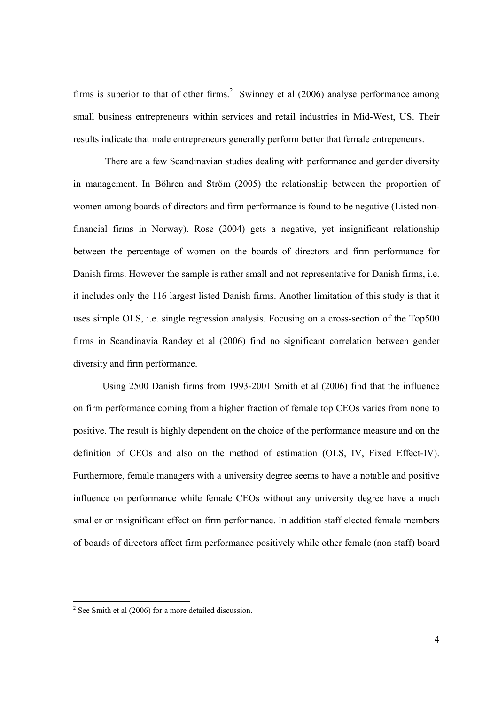firms is superior to that of other firms.<sup>2</sup> Swinney et al  $(2006)$  analyse performance among small business entrepreneurs within services and retail industries in Mid-West, US. Their results indicate that male entrepreneurs generally perform better that female entrepeneurs.

 There are a few Scandinavian studies dealing with performance and gender diversity in management. In Böhren and Ström (2005) the relationship between the proportion of women among boards of directors and firm performance is found to be negative (Listed nonfinancial firms in Norway). Rose (2004) gets a negative, yet insignificant relationship between the percentage of women on the boards of directors and firm performance for Danish firms. However the sample is rather small and not representative for Danish firms, i.e. it includes only the 116 largest listed Danish firms. Another limitation of this study is that it uses simple OLS, i.e. single regression analysis. Focusing on a cross-section of the Top500 firms in Scandinavia Randøy et al (2006) find no significant correlation between gender diversity and firm performance.

Using 2500 Danish firms from 1993-2001 Smith et al (2006) find that the influence on firm performance coming from a higher fraction of female top CEOs varies from none to positive. The result is highly dependent on the choice of the performance measure and on the definition of CEOs and also on the method of estimation (OLS, IV, Fixed Effect-IV). Furthermore, female managers with a university degree seems to have a notable and positive influence on performance while female CEOs without any university degree have a much smaller or insignificant effect on firm performance. In addition staff elected female members of boards of directors affect firm performance positively while other female (non staff) board

<sup>&</sup>lt;sup>2</sup> See Smith et al (2006) for a more detailed discussion.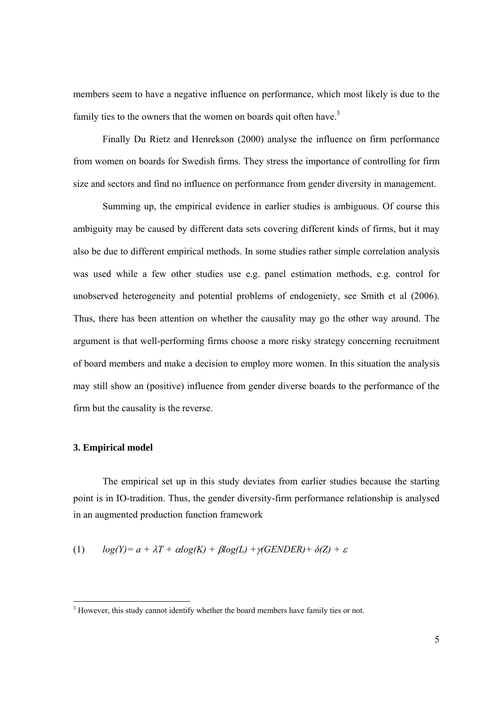members seem to have a negative influence on performance, which most likely is due to the family ties to the owners that the women on boards quit often have.<sup>3</sup>

Finally Du Rietz and Henrekson (2000) analyse the influence on firm performance from women on boards for Swedish firms. They stress the importance of controlling for firm size and sectors and find no influence on performance from gender diversity in management.

Summing up, the empirical evidence in earlier studies is ambiguous. Of course this ambiguity may be caused by different data sets covering different kinds of firms, but it may also be due to different empirical methods. In some studies rather simple correlation analysis was used while a few other studies use e.g. panel estimation methods, e.g. control for unobserved heterogeneity and potential problems of endogeniety, see Smith et al (2006). Thus, there has been attention on whether the causality may go the other way around. The argument is that well-performing firms choose a more risky strategy concerning recruitment of board members and make a decision to employ more women. In this situation the analysis may still show an (positive) influence from gender diverse boards to the performance of the firm but the causality is the reverse.

### **3. Empirical model**

 $\overline{a}$ 

The empirical set up in this study deviates from earlier studies because the starting point is in IO-tradition. Thus, the gender diversity-firm performance relationship is analysed in an augmented production function framework

(1) 
$$
log(Y) = a + \lambda T + \alpha log(K) + \beta log(L) + \gamma (GENDER) + \delta(Z) + \varepsilon
$$

 $3$  However, this study cannot identify whether the board members have family ties or not.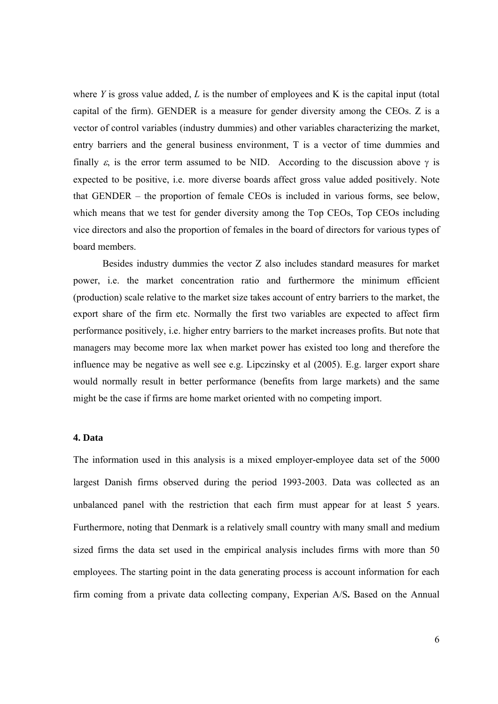where *Y* is gross value added, *L* is the number of employees and K is the capital input (total capital of the firm). GENDER is a measure for gender diversity among the CEOs. Z is a vector of control variables (industry dummies) and other variables characterizing the market, entry barriers and the general business environment, T is a vector of time dummies and finally  $\varepsilon$ , is the error term assumed to be NID. According to the discussion above  $\gamma$  is expected to be positive, i.e. more diverse boards affect gross value added positively. Note that GENDER – the proportion of female CEOs is included in various forms, see below, which means that we test for gender diversity among the Top CEOs, Top CEOs including vice directors and also the proportion of females in the board of directors for various types of board members.

Besides industry dummies the vector Z also includes standard measures for market power, i.e. the market concentration ratio and furthermore the minimum efficient (production) scale relative to the market size takes account of entry barriers to the market, the export share of the firm etc. Normally the first two variables are expected to affect firm performance positively, i.e. higher entry barriers to the market increases profits. But note that managers may become more lax when market power has existed too long and therefore the influence may be negative as well see e.g. Lipczinsky et al (2005). E.g. larger export share would normally result in better performance (benefits from large markets) and the same might be the case if firms are home market oriented with no competing import.

# **4. Data**

The information used in this analysis is a mixed employer-employee data set of the 5000 largest Danish firms observed during the period 1993-2003. Data was collected as an unbalanced panel with the restriction that each firm must appear for at least 5 years. Furthermore, noting that Denmark is a relatively small country with many small and medium sized firms the data set used in the empirical analysis includes firms with more than 50 employees. The starting point in the data generating process is account information for each firm coming from a private data collecting company, Experian A/S**.** Based on the Annual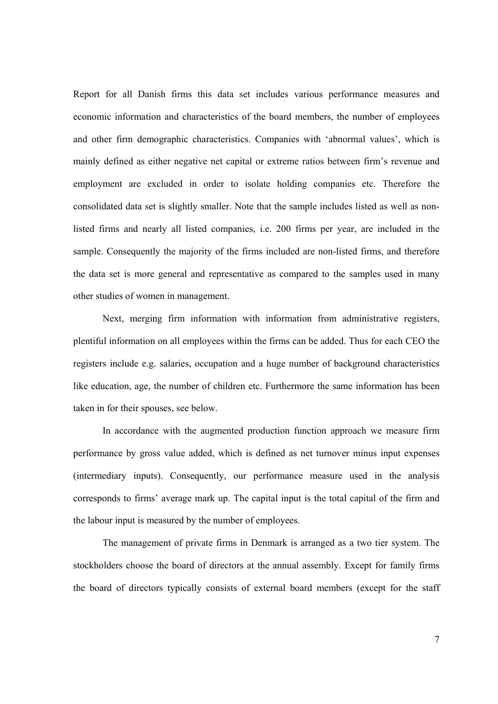Report for all Danish firms this data set includes various performance measures and economic information and characteristics of the board members, the number of employees and other firm demographic characteristics. Companies with 'abnormal values', which is mainly defined as either negative net capital or extreme ratios between firm's revenue and employment are excluded in order to isolate holding companies etc. Therefore the consolidated data set is slightly smaller. Note that the sample includes listed as well as nonlisted firms and nearly all listed companies, i.e. 200 firms per year, are included in the sample. Consequently the majority of the firms included are non-listed firms, and therefore the data set is more general and representative as compared to the samples used in many other studies of women in management.

Next, merging firm information with information from administrative registers, plentiful information on all employees within the firms can be added. Thus for each CEO the registers include e.g. salaries, occupation and a huge number of background characteristics like education, age, the number of children etc. Furthermore the same information has been taken in for their spouses, see below.

In accordance with the augmented production function approach we measure firm performance by gross value added, which is defined as net turnover minus input expenses (intermediary inputs). Consequently, our performance measure used in the analysis corresponds to firms' average mark up. The capital input is the total capital of the firm and the labour input is measured by the number of employees.

The management of private firms in Denmark is arranged as a two tier system. The stockholders choose the board of directors at the annual assembly. Except for family firms the board of directors typically consists of external board members (except for the staff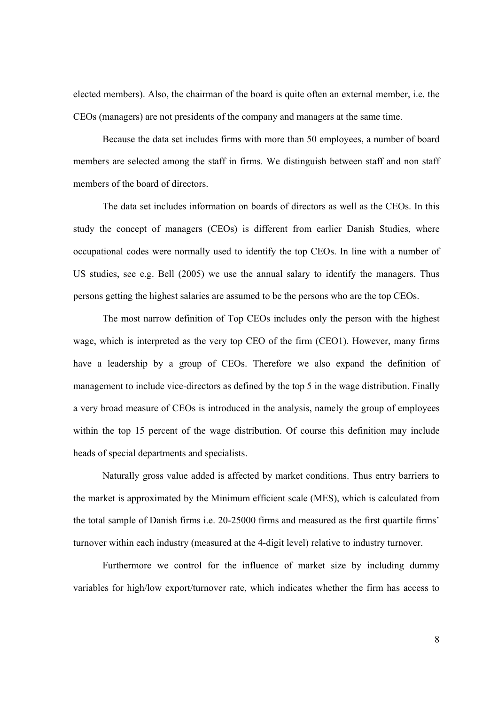elected members). Also, the chairman of the board is quite often an external member, i.e. the CEOs (managers) are not presidents of the company and managers at the same time.

Because the data set includes firms with more than 50 employees, a number of board members are selected among the staff in firms. We distinguish between staff and non staff members of the board of directors.

The data set includes information on boards of directors as well as the CEOs. In this study the concept of managers (CEOs) is different from earlier Danish Studies, where occupational codes were normally used to identify the top CEOs. In line with a number of US studies, see e.g. Bell (2005) we use the annual salary to identify the managers. Thus persons getting the highest salaries are assumed to be the persons who are the top CEOs.

The most narrow definition of Top CEOs includes only the person with the highest wage, which is interpreted as the very top CEO of the firm (CEO1). However, many firms have a leadership by a group of CEOs. Therefore we also expand the definition of management to include vice-directors as defined by the top 5 in the wage distribution. Finally a very broad measure of CEOs is introduced in the analysis, namely the group of employees within the top 15 percent of the wage distribution. Of course this definition may include heads of special departments and specialists.

Naturally gross value added is affected by market conditions. Thus entry barriers to the market is approximated by the Minimum efficient scale (MES), which is calculated from the total sample of Danish firms i.e. 20-25000 firms and measured as the first quartile firms' turnover within each industry (measured at the 4-digit level) relative to industry turnover.

Furthermore we control for the influence of market size by including dummy variables for high/low export/turnover rate, which indicates whether the firm has access to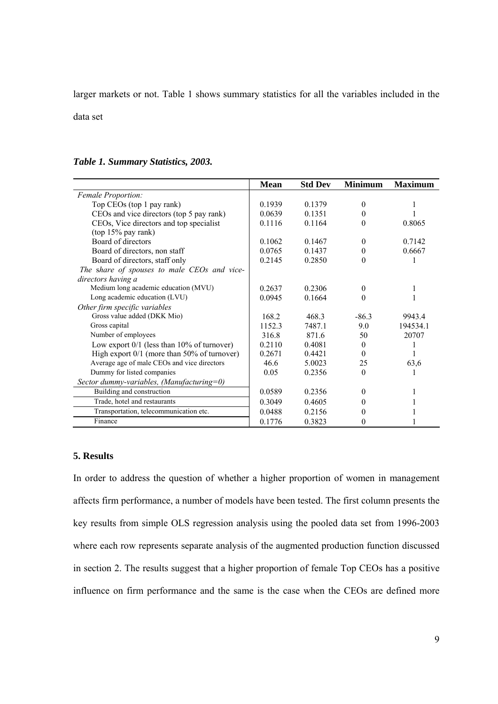larger markets or not. Table 1 shows summary statistics for all the variables included in the

data set

|                                          | Mean   | <b>Std Dev</b> | <b>Minimum</b> | <b>Maximum</b> |
|------------------------------------------|--------|----------------|----------------|----------------|
| <b>Female Proportion:</b>                |        |                |                |                |
| Top CEOs (top 1 pay rank)                | 0.1939 | 0.1379         |                |                |
| CEOs and vice directors (top 5 pay rank) | 0.0639 | 0.1351         |                |                |
| CEOs, Vice directors and top specialist  | 0.1116 | 0.1164         |                | 0.8065         |
| $(top 15\%$ pay rank)                    |        |                |                |                |
| Board of directors                       | 0.1062 | 0.1467         |                | 0.7142         |

*Table 1. Summary Statistics, 2003.* 

| Top CEOs (top 1 pay rank)                       | 0.1939 | 0.1379 | 0        |          |
|-------------------------------------------------|--------|--------|----------|----------|
| CEOs and vice directors (top 5 pay rank)        | 0.0639 | 0.1351 | $_{0}$   |          |
| CEOs, Vice directors and top specialist         | 0.1116 | 0.1164 | $\theta$ | 0.8065   |
| $(top 15\%$ pay rank)                           |        |        |          |          |
| Board of directors                              | 0.1062 | 0.1467 | $\Omega$ | 0.7142   |
| Board of directors, non staff                   | 0.0765 | 0.1437 | $\Omega$ | 0.6667   |
| Board of directors, staff only                  | 0.2145 | 0.2850 | 0        |          |
| The share of spouses to male CEOs and vice-     |        |        |          |          |
| directors having a                              |        |        |          |          |
| Medium long academic education (MVU)            | 0.2637 | 0.2306 | 0        |          |
| Long academic education (LVU)                   | 0.0945 | 0.1664 | $\Omega$ |          |
| Other firm specific variables                   |        |        |          |          |
| Gross value added (DKK Mio)                     | 168.2  | 468.3  | $-86.3$  | 9943.4   |
| Gross capital                                   | 1152.3 | 7487.1 | 9.0      | 194534.1 |
| Number of employees                             | 316.8  | 871.6  | 50       | 20707    |
| Low export $0/1$ (less than $10\%$ of turnover) | 0.2110 | 0.4081 | $\Omega$ |          |
| High export $0/1$ (more than 50% of turnover)   | 0.2671 | 0.4421 | $\Omega$ |          |
| Average age of male CEOs and vice directors     | 46.6   | 5.0023 | 25       | 63,6     |
| Dummy for listed companies                      | 0.05   | 0.2356 | $\theta$ |          |
| Sector dummy-variables, (Manufacturing=0)       |        |        |          |          |
| Building and construction                       | 0.0589 | 0.2356 | $\Omega$ |          |
| Trade, hotel and restaurants                    | 0.3049 | 0.4605 |          |          |
| Transportation, telecommunication etc.          | 0.0488 | 0.2156 | $\theta$ |          |
| Finance                                         | 0.1776 | 0.3823 | $\theta$ |          |

# **5. Results**

In order to address the question of whether a higher proportion of women in management affects firm performance, a number of models have been tested. The first column presents the key results from simple OLS regression analysis using the pooled data set from 1996-2003 where each row represents separate analysis of the augmented production function discussed in section 2. The results suggest that a higher proportion of female Top CEOs has a positive influence on firm performance and the same is the case when the CEOs are defined more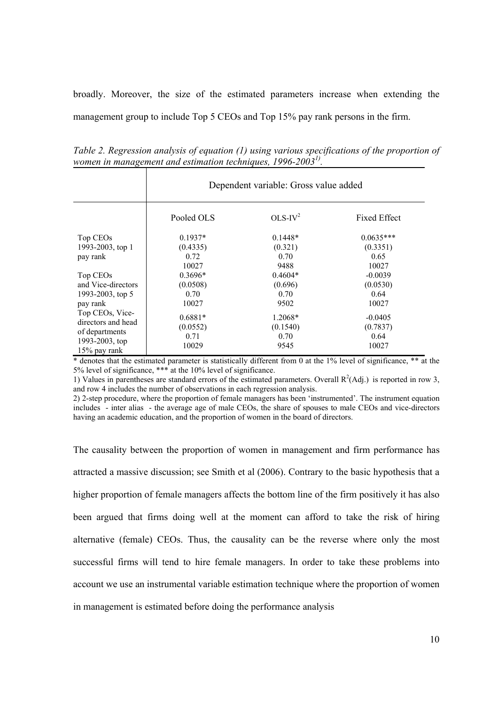broadly. Moreover, the size of the estimated parameters increase when extending the management group to include Top 5 CEOs and Top 15% pay rank persons in the firm.

*women in management and estimation techniques, 1996-20031).*  Dependent variable: Gross value added

*Table 2. Regression analysis of equation (1) using various specifications of the proportion of* 

|                                | Pooled OLS | $OLS-IV^2$ | <b>Fixed Effect</b> |
|--------------------------------|------------|------------|---------------------|
| Top CEOs                       | $0.1937*$  | $0.1448*$  | $0.0635***$         |
| 1993-2003, top 1               | (0.4335)   | (0.321)    | (0.3351)            |
| pay rank                       | 0.72       | 0.70       | 0.65                |
|                                | 10027      | 9488       | 10027               |
| Top CEOs                       | $0.3696*$  | $0.4604*$  | $-0.0039$           |
| and Vice-directors             | (0.0508)   | (0.696)    | (0.0530)            |
| 1993-2003, top 5               | 0.70       | 0.70       | 0.64                |
| pay rank                       | 10027      | 9502       | 10027               |
| Top CEOs, Vice-                | $0.6881*$  | 1.2068*    | $-0.0405$           |
| directors and head             | (0.0552)   | (0.1540)   | (0.7837)            |
| of departments                 | 0.71       | 0.70       | 0.64                |
| 1993-2003, top<br>15% pay rank | 10029      | 9545       | 10027               |

\* denotes that the estimated parameter is statistically different from 0 at the 1% level of significance, \*\* at the 5% level of significance, \*\*\* at the 10% level of significance.

1) Values in parentheses are standard errors of the estimated parameters. Overall  $R^2(Adj.)$  is reported in row 3, and row 4 includes the number of observations in each regression analysis.

2) 2-step procedure, where the proportion of female managers has been 'instrumented'. The instrument equation includes - inter alias - the average age of male CEOs, the share of spouses to male CEOs and vice-directors having an academic education, and the proportion of women in the board of directors.

The causality between the proportion of women in management and firm performance has attracted a massive discussion; see Smith et al (2006). Contrary to the basic hypothesis that a higher proportion of female managers affects the bottom line of the firm positively it has also been argued that firms doing well at the moment can afford to take the risk of hiring alternative (female) CEOs. Thus, the causality can be the reverse where only the most successful firms will tend to hire female managers. In order to take these problems into account we use an instrumental variable estimation technique where the proportion of women in management is estimated before doing the performance analysis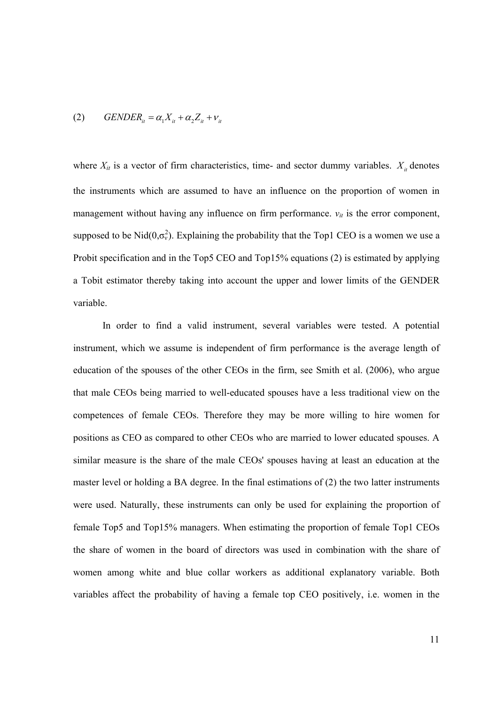$$
(2) \qquad GENDER_{it} = \alpha_1 X_{it} + \alpha_2 Z_{it} + v_{it}
$$

where  $X_{it}$  is a vector of firm characteristics, time- and sector dummy variables.  $X_{it}$  denotes the instruments which are assumed to have an influence on the proportion of women in management without having any influence on firm performance.  $v_{it}$  is the error component, supposed to be Nid $(0, \sigma_v^2)$ . Explaining the probability that the Top1 CEO is a women we use a Probit specification and in the Top5 CEO and Top15% equations (2) is estimated by applying a Tobit estimator thereby taking into account the upper and lower limits of the GENDER variable.

In order to find a valid instrument, several variables were tested. A potential instrument, which we assume is independent of firm performance is the average length of education of the spouses of the other CEOs in the firm, see Smith et al. (2006), who argue that male CEOs being married to well-educated spouses have a less traditional view on the competences of female CEOs. Therefore they may be more willing to hire women for positions as CEO as compared to other CEOs who are married to lower educated spouses. A similar measure is the share of the male CEOs' spouses having at least an education at the master level or holding a BA degree. In the final estimations of (2) the two latter instruments were used. Naturally, these instruments can only be used for explaining the proportion of female Top5 and Top15% managers. When estimating the proportion of female Top1 CEOs the share of women in the board of directors was used in combination with the share of women among white and blue collar workers as additional explanatory variable. Both variables affect the probability of having a female top CEO positively, i.e. women in the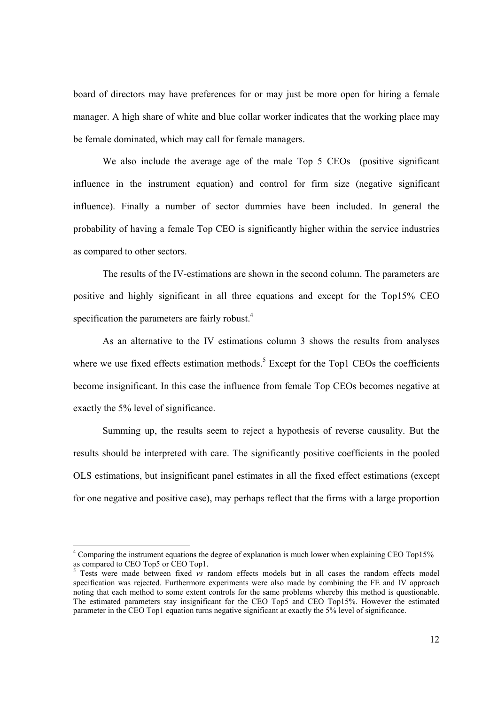board of directors may have preferences for or may just be more open for hiring a female manager. A high share of white and blue collar worker indicates that the working place may be female dominated, which may call for female managers.

We also include the average age of the male Top 5 CEOs (positive significant influence in the instrument equation) and control for firm size (negative significant influence). Finally a number of sector dummies have been included. In general the probability of having a female Top CEO is significantly higher within the service industries as compared to other sectors.

The results of the IV-estimations are shown in the second column. The parameters are positive and highly significant in all three equations and except for the Top15% CEO specification the parameters are fairly robust. $4$ 

As an alternative to the IV estimations column 3 shows the results from analyses where we use fixed effects estimation methods.<sup>5</sup> Except for the Top1 CEOs the coefficients become insignificant. In this case the influence from female Top CEOs becomes negative at exactly the 5% level of significance.

Summing up, the results seem to reject a hypothesis of reverse causality. But the results should be interpreted with care. The significantly positive coefficients in the pooled OLS estimations, but insignificant panel estimates in all the fixed effect estimations (except for one negative and positive case), may perhaps reflect that the firms with a large proportion

l

<sup>&</sup>lt;sup>4</sup> Comparing the instrument equations the degree of explanation is much lower when explaining CEO Top15% as compared to CEO Top5 or CEO Top1.

<sup>&</sup>lt;sup>5</sup> Tests were made between fixed *vs* random effects models but in all cases the random effects model specification was rejected. Furthermore experiments were also made by combining the FE and IV approach noting that each method to some extent controls for the same problems whereby this method is questionable. The estimated parameters stay insignificant for the CEO Top5 and CEO Top15%. However the estimated parameter in the CEO Top1 equation turns negative significant at exactly the 5% level of significance.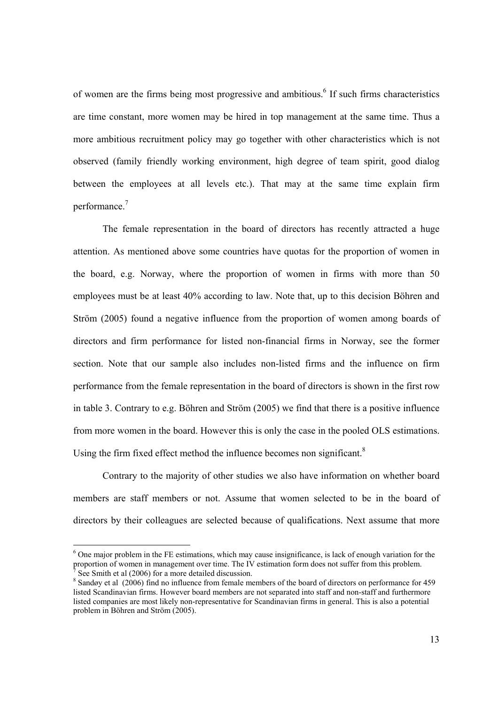of women are the firms being most progressive and ambitious.<sup>6</sup> If such firms characteristics are time constant, more women may be hired in top management at the same time. Thus a more ambitious recruitment policy may go together with other characteristics which is not observed (family friendly working environment, high degree of team spirit, good dialog between the employees at all levels etc.). That may at the same time explain firm performance.<sup>7</sup>

The female representation in the board of directors has recently attracted a huge attention. As mentioned above some countries have quotas for the proportion of women in the board, e.g. Norway, where the proportion of women in firms with more than 50 employees must be at least 40% according to law. Note that, up to this decision Böhren and Ström (2005) found a negative influence from the proportion of women among boards of directors and firm performance for listed non-financial firms in Norway, see the former section. Note that our sample also includes non-listed firms and the influence on firm performance from the female representation in the board of directors is shown in the first row in table 3. Contrary to e.g. Böhren and Ström (2005) we find that there is a positive influence from more women in the board. However this is only the case in the pooled OLS estimations. Using the firm fixed effect method the influence becomes non significant.<sup>8</sup>

Contrary to the majority of other studies we also have information on whether board members are staff members or not. Assume that women selected to be in the board of directors by their colleagues are selected because of qualifications. Next assume that more

l

<sup>&</sup>lt;sup>6</sup> One major problem in the FE estimations, which may cause insignificance, is lack of enough variation for the proportion of women in management over time. The IV estimation form does not suffer from this problem. 7 See Smith et al (2006) for a more detailed discussion.

<sup>&</sup>lt;sup>8</sup> Sandøy et al (2006) find no influence from female members of the board of directors on performance for 459 listed Scandinavian firms. However board members are not separated into staff and non-staff and furthermore listed companies are most likely non-representative for Scandinavian firms in general. This is also a potential problem in Böhren and Ström (2005).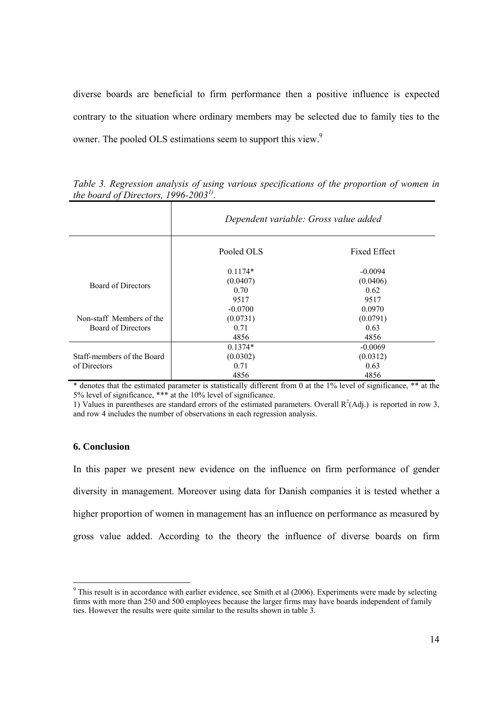diverse boards are beneficial to firm performance then a positive influence is expected contrary to the situation where ordinary members may be selected due to family ties to the owner. The pooled OLS estimations seem to support this view.<sup>9</sup>

|                                                                                    | Dependent variable: Gross value added                                          |                                                                             |  |
|------------------------------------------------------------------------------------|--------------------------------------------------------------------------------|-----------------------------------------------------------------------------|--|
|                                                                                    | Pooled OLS                                                                     | <b>Fixed Effect</b>                                                         |  |
| <b>Board of Directors</b><br>Non-staff Members of the<br><b>Board of Directors</b> | $0.1174*$<br>(0.0407)<br>0.70<br>9517<br>$-0.0700$<br>(0.0731)<br>0.71<br>4856 | $-0.0094$<br>(0.0406)<br>0.62<br>9517<br>0.0970<br>(0.0791)<br>0.63<br>4856 |  |
| Staff-members of the Board<br>of Directors                                         | $0.1374*$<br>(0.0302)<br>0.71<br>4856                                          | $-0.0069$<br>(0.0312)<br>0.63<br>4856                                       |  |

*Table 3. Regression analysis of using various specifications of the proportion of women in the board of Directors, 1996-20031).* 

\* denotes that the estimated parameter is statistically different from 0 at the 1% level of significance, \*\* at the 5% level of significance, \*\*\* at the 10% level of significance.

1) Values in parentheses are standard errors of the estimated parameters. Overall  $R^2(Adj.)$  is reported in row 3, and row 4 includes the number of observations in each regression analysis.

# **6. Conclusion**

In this paper we present new evidence on the influence on firm performance of gender diversity in management. Moreover using data for Danish companies it is tested whether a higher proportion of women in management has an influence on performance as measured by gross value added. According to the theory the influence of diverse boards on firm

 $9$  This result is in accordance with earlier evidence, see Smith et al (2006). Experiments were made by selecting firms with more than 250 and 500 employees because the larger firms may have boards independent of family ties. However the results were quite similar to the results shown in table 3.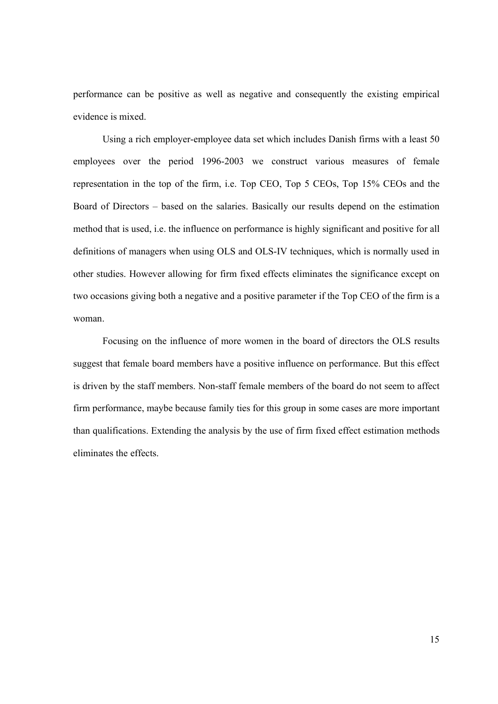performance can be positive as well as negative and consequently the existing empirical evidence is mixed.

Using a rich employer-employee data set which includes Danish firms with a least 50 employees over the period 1996-2003 we construct various measures of female representation in the top of the firm, i.e. Top CEO, Top 5 CEOs, Top 15% CEOs and the Board of Directors – based on the salaries. Basically our results depend on the estimation method that is used, i.e. the influence on performance is highly significant and positive for all definitions of managers when using OLS and OLS-IV techniques, which is normally used in other studies. However allowing for firm fixed effects eliminates the significance except on two occasions giving both a negative and a positive parameter if the Top CEO of the firm is a woman.

Focusing on the influence of more women in the board of directors the OLS results suggest that female board members have a positive influence on performance. But this effect is driven by the staff members. Non-staff female members of the board do not seem to affect firm performance, maybe because family ties for this group in some cases are more important than qualifications. Extending the analysis by the use of firm fixed effect estimation methods eliminates the effects.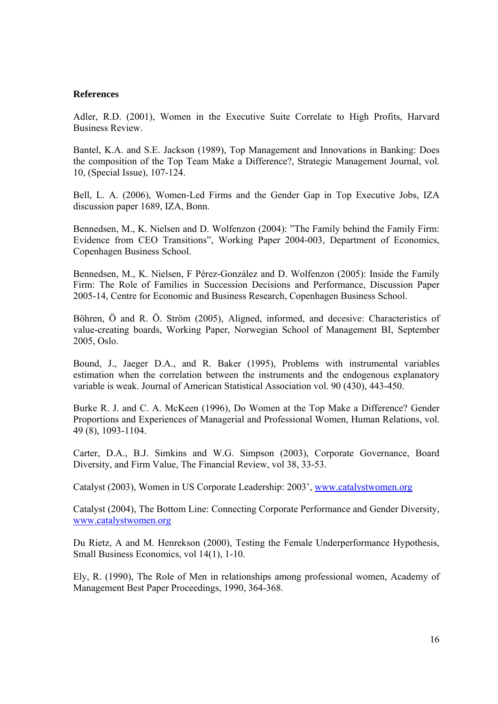#### **References**

Adler, R.D. (2001), Women in the Executive Suite Correlate to High Profits, Harvard Business Review.

Bantel, K.A. and S.E. Jackson (1989), Top Management and Innovations in Banking: Does the composition of the Top Team Make a Difference?, Strategic Management Journal, vol. 10, (Special Issue), 107-124.

Bell, L. A. (2006), Women-Led Firms and the Gender Gap in Top Executive Jobs, IZA discussion paper 1689, IZA, Bonn.

Bennedsen, M., K. Nielsen and D. Wolfenzon (2004): "The Family behind the Family Firm: Evidence from CEO Transitions", Working Paper 2004-003, Department of Economics, Copenhagen Business School.

Bennedsen, M., K. Nielsen, F Pérez-González and D. Wolfenzon (2005): Inside the Family Firm: The Role of Families in Succession Decisions and Performance, Discussion Paper 2005-14, Centre for Economic and Business Research, Copenhagen Business School.

Böhren, Ö and R. Ö. Ström (2005), Aligned, informed, and decesive: Characteristics of value-creating boards, Working Paper, Norwegian School of Management BI, September 2005, Oslo.

Bound, J., Jaeger D.A., and R. Baker (1995), Problems with instrumental variables estimation when the correlation between the instruments and the endogenous explanatory variable is weak. Journal of American Statistical Association vol. 90 (430), 443-450.

Burke R. J. and C. A. McKeen (1996), Do Women at the Top Make a Difference? Gender Proportions and Experiences of Managerial and Professional Women, Human Relations, vol. 49 (8), 1093-1104.

Carter, D.A., B.J. Simkins and W.G. Simpson (2003), Corporate Governance, Board Diversity, and Firm Value, The Financial Review, vol 38, 33-53.

Catalyst (2003), Women in US Corporate Leadership: 2003', www.catalystwomen.org

Catalyst (2004), The Bottom Line: Connecting Corporate Performance and Gender Diversity, www.catalystwomen.org

Du Rietz, A and M. Henrekson (2000), Testing the Female Underperformance Hypothesis, Small Business Economics, vol 14(1), 1-10.

Ely, R. (1990), The Role of Men in relationships among professional women, Academy of Management Best Paper Proceedings, 1990, 364-368.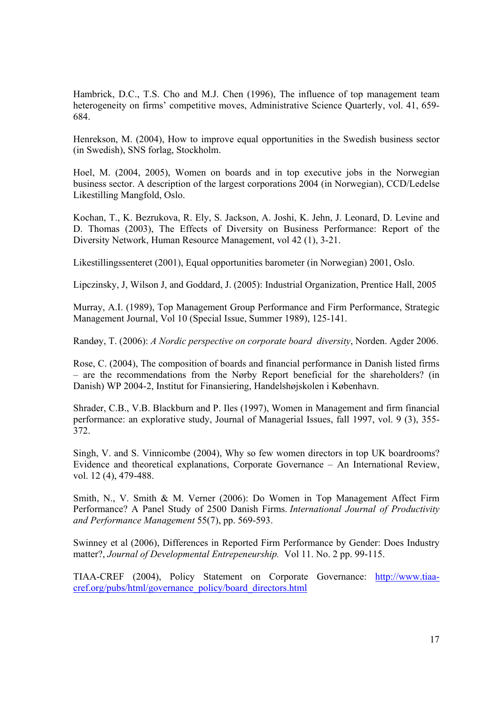Hambrick, D.C., T.S. Cho and M.J. Chen (1996), The influence of top management team heterogeneity on firms' competitive moves, Administrative Science Quarterly, vol. 41, 659-684.

Henrekson, M. (2004), How to improve equal opportunities in the Swedish business sector (in Swedish), SNS forlag, Stockholm.

Hoel, M. (2004, 2005), Women on boards and in top executive jobs in the Norwegian business sector. A description of the largest corporations 2004 (in Norwegian), CCD/Ledelse Likestilling Mangfold, Oslo.

Kochan, T., K. Bezrukova, R. Ely, S. Jackson, A. Joshi, K. Jehn, J. Leonard, D. Levine and D. Thomas (2003), The Effects of Diversity on Business Performance: Report of the Diversity Network, Human Resource Management, vol 42 (1), 3-21.

Likestillingssenteret (2001), Equal opportunities barometer (in Norwegian) 2001, Oslo.

Lipczinsky, J, Wilson J, and Goddard, J. (2005): Industrial Organization, Prentice Hall, 2005

Murray, A.I. (1989), Top Management Group Performance and Firm Performance, Strategic Management Journal, Vol 10 (Special Issue, Summer 1989), 125-141.

Randøy, T. (2006): *A Nordic perspective on corporate board diversity*, Norden. Agder 2006.

Rose, C. (2004), The composition of boards and financial performance in Danish listed firms – are the recommendations from the Nørby Report beneficial for the shareholders? (in Danish) WP 2004-2, Institut for Finansiering, Handelshøjskolen i København.

Shrader, C.B., V.B. Blackburn and P. Iles (1997), Women in Management and firm financial performance: an explorative study, Journal of Managerial Issues, fall 1997, vol. 9 (3), 355- 372.

Singh, V. and S. Vinnicombe (2004), Why so few women directors in top UK boardrooms? Evidence and theoretical explanations, Corporate Governance – An International Review, vol. 12 (4), 479-488.

Smith, N., V. Smith & M. Verner (2006): Do Women in Top Management Affect Firm Performance? A Panel Study of 2500 Danish Firms. *International Journal of Productivity and Performance Management* 55(7), pp. 569-593.

Swinney et al (2006), Differences in Reported Firm Performance by Gender: Does Industry matter?, *Journal of Developmental Entrepeneurship.* Vol 11. No. 2 pp. 99-115.

TIAA-CREF (2004), Policy Statement on Corporate Governance: http://www.tiaacref.org/pubs/html/governance\_policy/board\_directors.html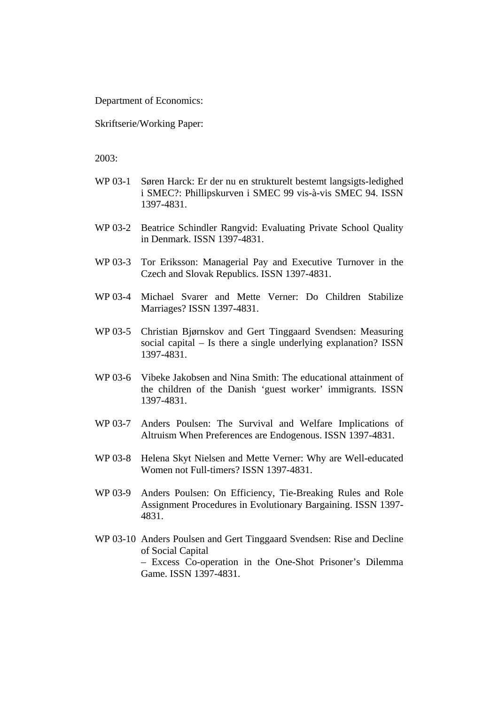Department of Economics:

Skriftserie/Working Paper:

- WP 03-1 Søren Harck: Er der nu en strukturelt bestemt langsigts-ledighed i SMEC?: Phillipskurven i SMEC 99 vis-à-vis SMEC 94. ISSN 1397-4831.
- WP 03-2 Beatrice Schindler Rangvid: Evaluating Private School Quality in Denmark. ISSN 1397-4831.
- WP 03-3 Tor Eriksson: Managerial Pay and Executive Turnover in the Czech and Slovak Republics. ISSN 1397-4831.
- WP 03-4 Michael Svarer and Mette Verner: Do Children Stabilize Marriages? ISSN 1397-4831.
- WP 03-5 Christian Bjørnskov and Gert Tinggaard Svendsen: Measuring social capital – Is there a single underlying explanation? ISSN 1397-4831.
- WP 03-6 Vibeke Jakobsen and Nina Smith: The educational attainment of the children of the Danish 'guest worker' immigrants. ISSN 1397-4831.
- WP 03-7 Anders Poulsen: The Survival and Welfare Implications of Altruism When Preferences are Endogenous. ISSN 1397-4831.
- WP 03-8 Helena Skyt Nielsen and Mette Verner: Why are Well-educated Women not Full-timers? ISSN 1397-4831.
- WP 03-9 Anders Poulsen: On Efficiency, Tie-Breaking Rules and Role Assignment Procedures in Evolutionary Bargaining. ISSN 1397- 4831.
- WP 03-10 Anders Poulsen and Gert Tinggaard Svendsen: Rise and Decline of Social Capital – Excess Co-operation in the One-Shot Prisoner's Dilemma Game. ISSN 1397-4831.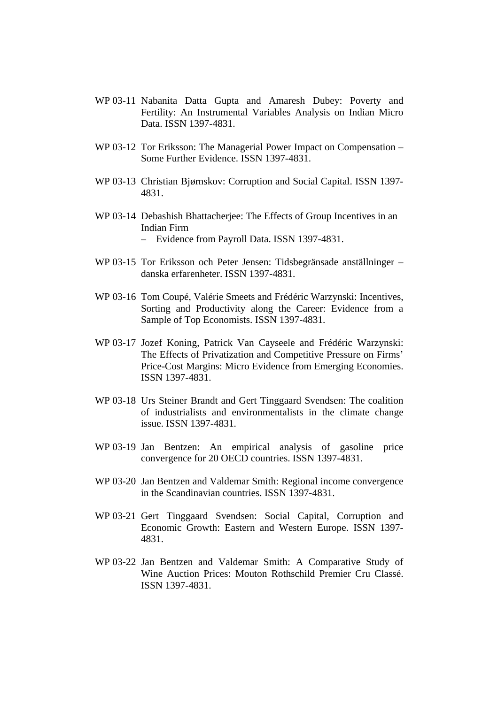- WP 03-11 Nabanita Datta Gupta and Amaresh Dubey: Poverty and Fertility: An Instrumental Variables Analysis on Indian Micro Data. ISSN 1397-4831.
- WP 03-12 Tor Eriksson: The Managerial Power Impact on Compensation Some Further Evidence. ISSN 1397-4831.
- WP 03-13 Christian Bjørnskov: Corruption and Social Capital. ISSN 1397- 4831.
- WP 03-14 Debashish Bhattacherjee: The Effects of Group Incentives in an Indian Firm – Evidence from Payroll Data. ISSN 1397-4831.
- WP 03-15 Tor Eriksson och Peter Jensen: Tidsbegränsade anställninger danska erfarenheter. ISSN 1397-4831.
- WP 03-16 Tom Coupé, Valérie Smeets and Frédéric Warzynski: Incentives, Sorting and Productivity along the Career: Evidence from a Sample of Top Economists. ISSN 1397-4831.
- WP 03-17 Jozef Koning, Patrick Van Cayseele and Frédéric Warzynski: The Effects of Privatization and Competitive Pressure on Firms' Price-Cost Margins: Micro Evidence from Emerging Economies. ISSN 1397-4831.
- WP 03-18 Urs Steiner Brandt and Gert Tinggaard Svendsen: The coalition of industrialists and environmentalists in the climate change issue. ISSN 1397-4831.
- WP 03-19 Jan Bentzen: An empirical analysis of gasoline price convergence for 20 OECD countries. ISSN 1397-4831.
- WP 03-20 Jan Bentzen and Valdemar Smith: Regional income convergence in the Scandinavian countries. ISSN 1397-4831.
- WP 03-21 Gert Tinggaard Svendsen: Social Capital, Corruption and Economic Growth: Eastern and Western Europe. ISSN 1397- 4831.
- WP 03-22 Jan Bentzen and Valdemar Smith: A Comparative Study of Wine Auction Prices: Mouton Rothschild Premier Cru Classé. ISSN 1397-4831.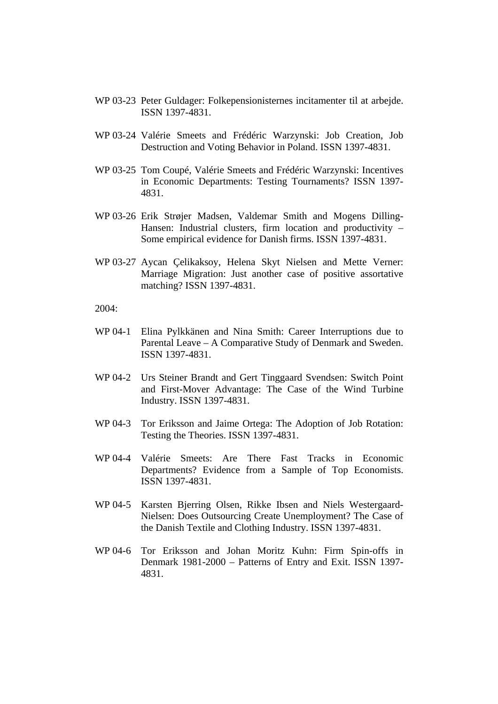- WP 03-23 Peter Guldager: Folkepensionisternes incitamenter til at arbejde. ISSN 1397-4831.
- WP 03-24 Valérie Smeets and Frédéric Warzynski: Job Creation, Job Destruction and Voting Behavior in Poland. ISSN 1397-4831.
- WP 03-25 Tom Coupé, Valérie Smeets and Frédéric Warzynski: Incentives in Economic Departments: Testing Tournaments? ISSN 1397- 4831.
- WP 03-26 Erik Strøjer Madsen, Valdemar Smith and Mogens Dilling-Hansen: Industrial clusters, firm location and productivity – Some empirical evidence for Danish firms. ISSN 1397-4831.
- WP 03-27 Aycan Çelikaksoy, Helena Skyt Nielsen and Mette Verner: Marriage Migration: Just another case of positive assortative matching? ISSN 1397-4831.

 $2004.$ 

- WP 04-1 Elina Pylkkänen and Nina Smith: Career Interruptions due to Parental Leave – A Comparative Study of Denmark and Sweden. ISSN 1397-4831.
- WP 04-2 Urs Steiner Brandt and Gert Tinggaard Svendsen: Switch Point and First-Mover Advantage: The Case of the Wind Turbine Industry. ISSN 1397-4831.
- WP 04-3 Tor Eriksson and Jaime Ortega: The Adoption of Job Rotation: Testing the Theories. ISSN 1397-4831.
- WP 04-4 Valérie Smeets: Are There Fast Tracks in Economic Departments? Evidence from a Sample of Top Economists. ISSN 1397-4831.
- WP 04-5 Karsten Bjerring Olsen, Rikke Ibsen and Niels Westergaard-Nielsen: Does Outsourcing Create Unemployment? The Case of the Danish Textile and Clothing Industry. ISSN 1397-4831.
- WP 04-6 Tor Eriksson and Johan Moritz Kuhn: Firm Spin-offs in Denmark 1981-2000 – Patterns of Entry and Exit. ISSN 1397- 4831.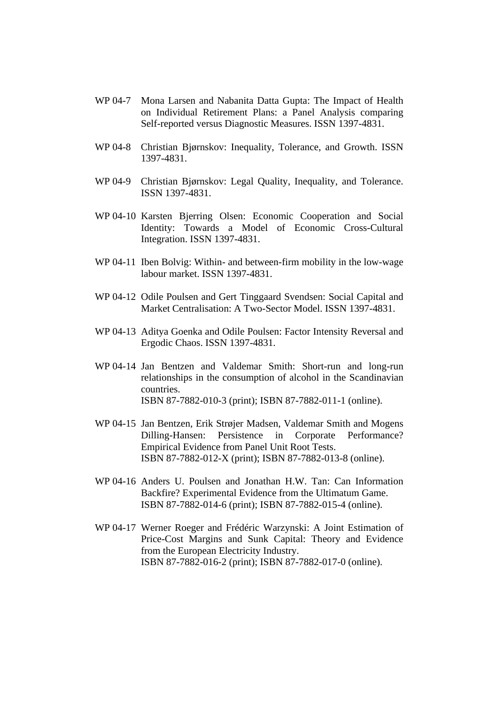- WP 04-7 Mona Larsen and Nabanita Datta Gupta: The Impact of Health on Individual Retirement Plans: a Panel Analysis comparing Self-reported versus Diagnostic Measures. ISSN 1397-4831.
- WP 04-8 Christian Bjørnskov: Inequality, Tolerance, and Growth. ISSN 1397-4831.
- WP 04-9 Christian Bjørnskov: Legal Quality, Inequality, and Tolerance. ISSN 1397-4831.
- WP 04-10 Karsten Bjerring Olsen: Economic Cooperation and Social Identity: Towards a Model of Economic Cross-Cultural Integration. ISSN 1397-4831.
- WP 04-11 Iben Bolvig: Within- and between-firm mobility in the low-wage labour market. ISSN 1397-4831.
- WP 04-12 Odile Poulsen and Gert Tinggaard Svendsen: Social Capital and Market Centralisation: A Two-Sector Model. ISSN 1397-4831.
- WP 04-13 Aditya Goenka and Odile Poulsen: Factor Intensity Reversal and Ergodic Chaos. ISSN 1397-4831.
- WP 04-14 Jan Bentzen and Valdemar Smith: Short-run and long-run relationships in the consumption of alcohol in the Scandinavian countries. ISBN 87-7882-010-3 (print); ISBN 87-7882-011-1 (online).
- WP 04-15 Jan Bentzen, Erik Strøjer Madsen, Valdemar Smith and Mogens Dilling-Hansen: Persistence in Corporate Performance? Empirical Evidence from Panel Unit Root Tests. ISBN 87-7882-012-X (print); ISBN 87-7882-013-8 (online).
- WP 04-16 Anders U. Poulsen and Jonathan H.W. Tan: Can Information Backfire? Experimental Evidence from the Ultimatum Game. ISBN 87-7882-014-6 (print); ISBN 87-7882-015-4 (online).
- WP 04-17 Werner Roeger and Frédéric Warzynski: A Joint Estimation of Price-Cost Margins and Sunk Capital: Theory and Evidence from the European Electricity Industry. ISBN 87-7882-016-2 (print); ISBN 87-7882-017-0 (online).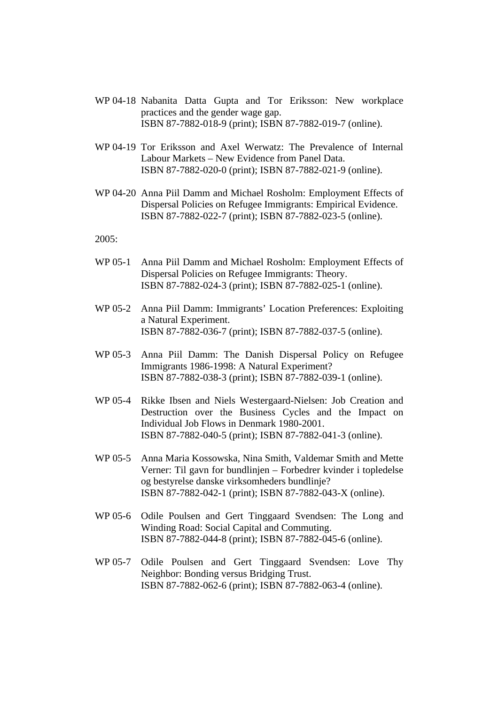- WP 04-18 Nabanita Datta Gupta and Tor Eriksson: New workplace practices and the gender wage gap. ISBN 87-7882-018-9 (print); ISBN 87-7882-019-7 (online).
- WP 04-19 Tor Eriksson and Axel Werwatz: The Prevalence of Internal Labour Markets – New Evidence from Panel Data. ISBN 87-7882-020-0 (print); ISBN 87-7882-021-9 (online).
- WP 04-20 Anna Piil Damm and Michael Rosholm: Employment Effects of Dispersal Policies on Refugee Immigrants: Empirical Evidence. ISBN 87-7882-022-7 (print); ISBN 87-7882-023-5 (online).

- WP 05-1 Anna Piil Damm and Michael Rosholm: Employment Effects of Dispersal Policies on Refugee Immigrants: Theory. ISBN 87-7882-024-3 (print); ISBN 87-7882-025-1 (online).
- WP 05-2 Anna Piil Damm: Immigrants' Location Preferences: Exploiting a Natural Experiment. ISBN 87-7882-036-7 (print); ISBN 87-7882-037-5 (online).
- WP 05-3 Anna Piil Damm: The Danish Dispersal Policy on Refugee Immigrants 1986-1998: A Natural Experiment? ISBN 87-7882-038-3 (print); ISBN 87-7882-039-1 (online).
- WP 05-4 Rikke Ibsen and Niels Westergaard-Nielsen: Job Creation and Destruction over the Business Cycles and the Impact on Individual Job Flows in Denmark 1980-2001. ISBN 87-7882-040-5 (print); ISBN 87-7882-041-3 (online).
- WP 05-5 Anna Maria Kossowska, Nina Smith, Valdemar Smith and Mette Verner: Til gavn for bundlinjen – Forbedrer kvinder i topledelse og bestyrelse danske virksomheders bundlinje? ISBN 87-7882-042-1 (print); ISBN 87-7882-043-X (online).
- WP 05-6 Odile Poulsen and Gert Tinggaard Svendsen: The Long and Winding Road: Social Capital and Commuting. ISBN 87-7882-044-8 (print); ISBN 87-7882-045-6 (online).
- WP 05-7 Odile Poulsen and Gert Tinggaard Svendsen: Love Thy Neighbor: Bonding versus Bridging Trust. ISBN 87-7882-062-6 (print); ISBN 87-7882-063-4 (online).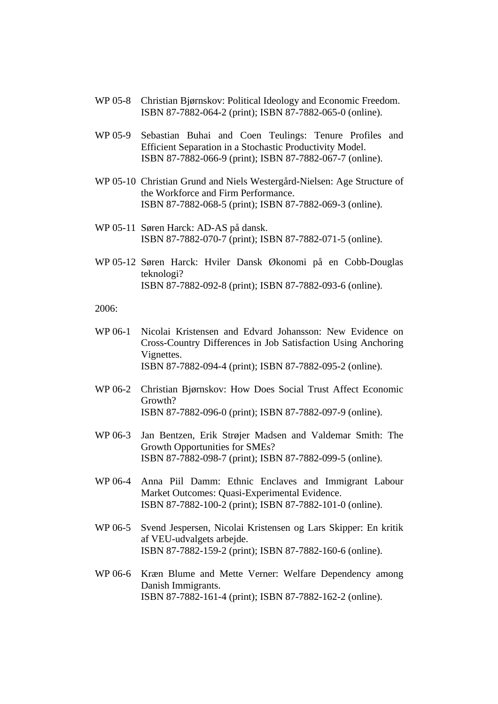- WP 05-8 Christian Bjørnskov: Political Ideology and Economic Freedom. ISBN 87-7882-064-2 (print); ISBN 87-7882-065-0 (online).
- WP 05-9 Sebastian Buhai and Coen Teulings: Tenure Profiles and Efficient Separation in a Stochastic Productivity Model. ISBN 87-7882-066-9 (print); ISBN 87-7882-067-7 (online).
- WP 05-10 Christian Grund and Niels Westergård-Nielsen: Age Structure of the Workforce and Firm Performance. ISBN 87-7882-068-5 (print); ISBN 87-7882-069-3 (online).
- WP 05-11 Søren Harck: AD-AS på dansk. ISBN 87-7882-070-7 (print); ISBN 87-7882-071-5 (online).
- WP 05-12 Søren Harck: Hviler Dansk Økonomi på en Cobb-Douglas teknologi? ISBN 87-7882-092-8 (print); ISBN 87-7882-093-6 (online).

- WP 06-1 Nicolai Kristensen and Edvard Johansson: New Evidence on Cross-Country Differences in Job Satisfaction Using Anchoring Vignettes. ISBN 87-7882-094-4 (print); ISBN 87-7882-095-2 (online).
- WP 06-2 Christian Bjørnskov: How Does Social Trust Affect Economic Growth? ISBN 87-7882-096-0 (print); ISBN 87-7882-097-9 (online).
- WP 06-3 Jan Bentzen, Erik Strøjer Madsen and Valdemar Smith: The Growth Opportunities for SMEs? ISBN 87-7882-098-7 (print); ISBN 87-7882-099-5 (online).
- WP 06-4 Anna Piil Damm: Ethnic Enclaves and Immigrant Labour Market Outcomes: Quasi-Experimental Evidence. ISBN 87-7882-100-2 (print); ISBN 87-7882-101-0 (online).
- WP 06-5 Svend Jespersen, Nicolai Kristensen og Lars Skipper: En kritik af VEU-udvalgets arbejde. ISBN 87-7882-159-2 (print); ISBN 87-7882-160-6 (online).
- WP 06-6 Kræn Blume and Mette Verner: Welfare Dependency among Danish Immigrants. ISBN 87-7882-161-4 (print); ISBN 87-7882-162-2 (online).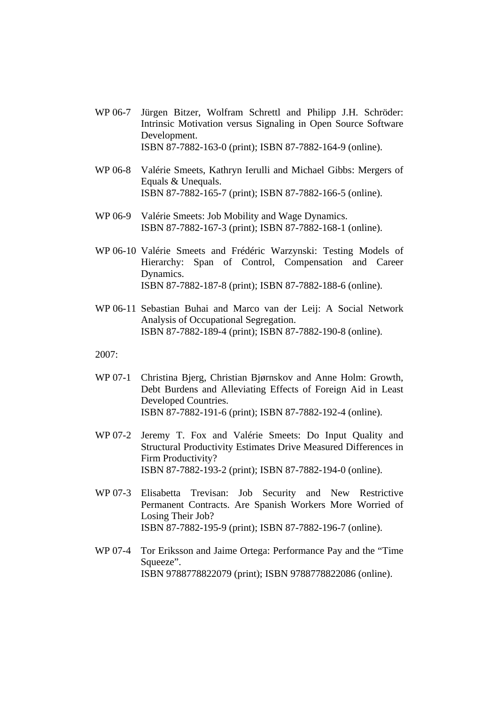- WP 06-7 Jürgen Bitzer, Wolfram Schrettl and Philipp J.H. Schröder: Intrinsic Motivation versus Signaling in Open Source Software Development. ISBN 87-7882-163-0 (print); ISBN 87-7882-164-9 (online).
- WP 06-8 Valérie Smeets, Kathryn Ierulli and Michael Gibbs: Mergers of Equals & Unequals. ISBN 87-7882-165-7 (print); ISBN 87-7882-166-5 (online).
- WP 06-9 Valérie Smeets: Job Mobility and Wage Dynamics. ISBN 87-7882-167-3 (print); ISBN 87-7882-168-1 (online).
- WP 06-10 Valérie Smeets and Frédéric Warzynski: Testing Models of Hierarchy: Span of Control, Compensation and Career Dynamics. ISBN 87-7882-187-8 (print); ISBN 87-7882-188-6 (online).
- WP 06-11 Sebastian Buhai and Marco van der Leij: A Social Network Analysis of Occupational Segregation. ISBN 87-7882-189-4 (print); ISBN 87-7882-190-8 (online).

- WP 07-1 Christina Bjerg, Christian Bjørnskov and Anne Holm: Growth, Debt Burdens and Alleviating Effects of Foreign Aid in Least Developed Countries. ISBN 87-7882-191-6 (print); ISBN 87-7882-192-4 (online).
- WP 07-2 Jeremy T. Fox and Valérie Smeets: Do Input Quality and Structural Productivity Estimates Drive Measured Differences in Firm Productivity? ISBN 87-7882-193-2 (print); ISBN 87-7882-194-0 (online).
- WP 07-3 Elisabetta Trevisan: Job Security and New Restrictive Permanent Contracts. Are Spanish Workers More Worried of Losing Their Job? ISBN 87-7882-195-9 (print); ISBN 87-7882-196-7 (online).
- WP 07-4 Tor Eriksson and Jaime Ortega: Performance Pay and the "Time Squeeze". ISBN 9788778822079 (print); ISBN 9788778822086 (online).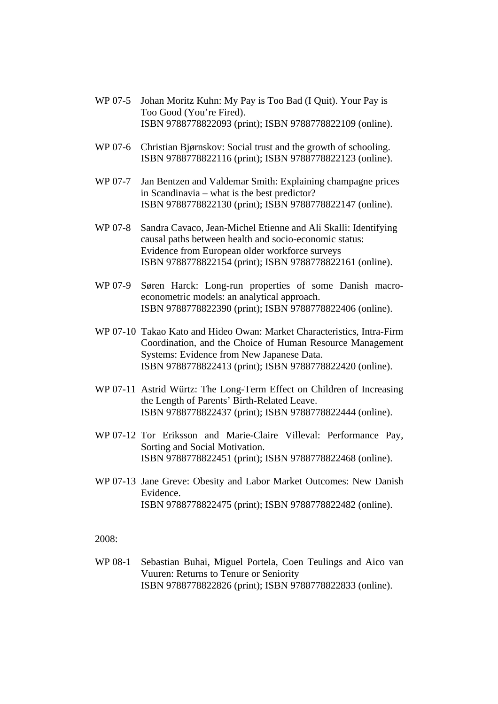- WP 07-5 Johan Moritz Kuhn: My Pay is Too Bad (I Quit). Your Pay is Too Good (You're Fired). ISBN 9788778822093 (print); ISBN 9788778822109 (online).
- WP 07-6 Christian Bjørnskov: Social trust and the growth of schooling. ISBN 9788778822116 (print); ISBN 9788778822123 (online).
- WP 07-7 Jan Bentzen and Valdemar Smith: Explaining champagne prices in Scandinavia – what is the best predictor? ISBN 9788778822130 (print); ISBN 9788778822147 (online).
- WP 07-8 Sandra Cavaco, Jean-Michel Etienne and Ali Skalli: Identifying causal paths between health and socio-economic status: Evidence from European older workforce surveys ISBN 9788778822154 (print); ISBN 9788778822161 (online).
- WP 07-9 Søren Harck: Long-run properties of some Danish macroeconometric models: an analytical approach. ISBN 9788778822390 (print); ISBN 9788778822406 (online).
- WP 07-10 Takao Kato and Hideo Owan: Market Characteristics, Intra-Firm Coordination, and the Choice of Human Resource Management Systems: Evidence from New Japanese Data. ISBN 9788778822413 (print); ISBN 9788778822420 (online).
- WP 07-11 Astrid Würtz: The Long-Term Effect on Children of Increasing the Length of Parents' Birth-Related Leave. ISBN 9788778822437 (print); ISBN 9788778822444 (online).
- WP 07-12 Tor Eriksson and Marie-Claire Villeval: Performance Pay, Sorting and Social Motivation. ISBN 9788778822451 (print); ISBN 9788778822468 (online).
- WP 07-13 Jane Greve: Obesity and Labor Market Outcomes: New Danish Evidence. ISBN 9788778822475 (print); ISBN 9788778822482 (online).

WP 08-1 Sebastian Buhai, Miguel Portela, Coen Teulings and Aico van Vuuren: Returns to Tenure or Seniority ISBN 9788778822826 (print); ISBN 9788778822833 (online).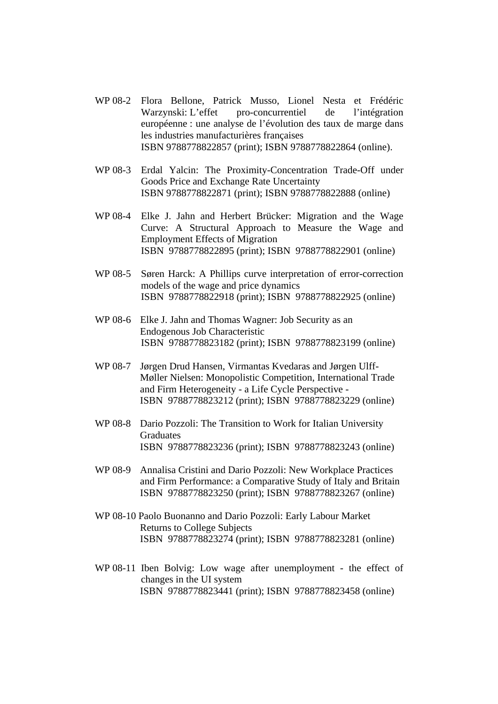- WP 08-2 Flora Bellone, Patrick Musso, Lionel Nesta et Frédéric Warzynski: L'effet pro-concurrentiel de l'intégration européenne : une analyse de l'évolution des taux de marge dans les industries manufacturières françaises ISBN 9788778822857 (print); ISBN 9788778822864 (online).
- WP 08-3 Erdal Yalcin: The Proximity-Concentration Trade-Off under Goods Price and Exchange Rate Uncertainty ISBN 9788778822871 (print); ISBN 9788778822888 (online)
- WP 08-4 Elke J. Jahn and Herbert Brücker: Migration and the Wage Curve: A Structural Approach to Measure the Wage and Employment Effects of Migration ISBN 9788778822895 (print); ISBN 9788778822901 (online)
- WP 08-5 Søren Harck: A Phillips curve interpretation of error-correction models of the wage and price dynamics ISBN 9788778822918 (print); ISBN 9788778822925 (online)
- WP 08-6 Elke J. Jahn and Thomas Wagner: Job Security as an Endogenous Job Characteristic ISBN 9788778823182 (print); ISBN 9788778823199 (online)
- WP 08-7 Jørgen Drud Hansen, Virmantas Kvedaras and Jørgen Ulff-Møller Nielsen: Monopolistic Competition, International Trade and Firm Heterogeneity - a Life Cycle Perspective - ISBN 9788778823212 (print); ISBN 9788778823229 (online)
- WP 08-8 Dario Pozzoli: The Transition to Work for Italian University Graduates ISBN 9788778823236 (print); ISBN 9788778823243 (online)
- WP 08-9 Annalisa Cristini and Dario Pozzoli: New Workplace Practices and Firm Performance: a Comparative Study of Italy and Britain ISBN 9788778823250 (print); ISBN 9788778823267 (online)
- WP 08-10 Paolo Buonanno and Dario Pozzoli: Early Labour Market Returns to College Subjects ISBN 9788778823274 (print); ISBN 9788778823281 (online)
- WP 08-11 Iben Bolvig: Low wage after unemployment the effect of changes in the UI system ISBN 9788778823441 (print); ISBN 9788778823458 (online)